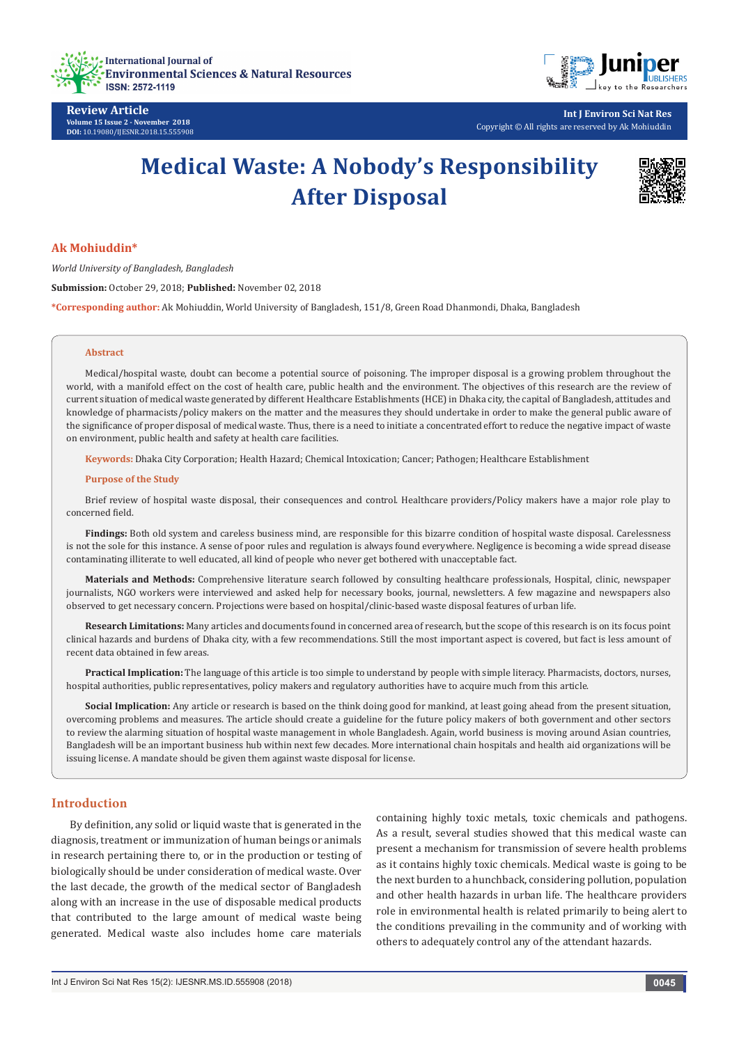



**Int J Environ Sci Nat Res** Copyright © All rights are reserved by Ak Mohiuddin

# **Medical Waste: A Nobody's Responsibility After Disposal**



#### **Ak Mohiuddin\***

*World University of Bangladesh, Bangladesh* **Submission:** October 29, 2018; **Published:** November 02, 2018 **\*Corresponding author:** Ak Mohiuddin, World University of Bangladesh, 151/8, Green Road Dhanmondi, Dhaka, Bangladesh

#### **Abstract**

Medical/hospital waste, doubt can become a potential source of poisoning. The improper disposal is a growing problem throughout the world, with a manifold effect on the cost of health care, public health and the environment. The objectives of this research are the review of current situation of medical waste generated by different Healthcare Establishments (HCE) in Dhaka city, the capital of Bangladesh, attitudes and knowledge of pharmacists/policy makers on the matter and the measures they should undertake in order to make the general public aware of the significance of proper disposal of medical waste. Thus, there is a need to initiate a concentrated effort to reduce the negative impact of waste on environment, public health and safety at health care facilities.

**Keywords:** Dhaka City Corporation; Health Hazard; Chemical Intoxication; Cancer; Pathogen; Healthcare Establishment

#### **Purpose of the Study**

Brief review of hospital waste disposal, their consequences and control. Healthcare providers/Policy makers have a major role play to concerned field.

**Findings:** Both old system and careless business mind, are responsible for this bizarre condition of hospital waste disposal. Carelessness is not the sole for this instance. A sense of poor rules and regulation is always found everywhere. Negligence is becoming a wide spread disease contaminating illiterate to well educated, all kind of people who never get bothered with unacceptable fact.

**Materials and Methods:** Comprehensive literature search followed by consulting healthcare professionals, Hospital, clinic, newspaper journalists, NGO workers were interviewed and asked help for necessary books, journal, newsletters. A few magazine and newspapers also observed to get necessary concern. Projections were based on hospital/clinic-based waste disposal features of urban life.

**Research Limitations:** Many articles and documents found in concerned area of research, but the scope of this research is on its focus point clinical hazards and burdens of Dhaka city, with a few recommendations. Still the most important aspect is covered, but fact is less amount of recent data obtained in few areas.

**Practical Implication:** The language of this article is too simple to understand by people with simple literacy. Pharmacists, doctors, nurses, hospital authorities, public representatives, policy makers and regulatory authorities have to acquire much from this article.

**Social Implication:** Any article or research is based on the think doing good for mankind, at least going ahead from the present situation, overcoming problems and measures. The article should create a guideline for the future policy makers of both government and other sectors to review the alarming situation of hospital waste management in whole Bangladesh. Again, world business is moving around Asian countries, Bangladesh will be an important business hub within next few decades. More international chain hospitals and health aid organizations will be issuing license. A mandate should be given them against waste disposal for license.

# **Introduction**

By definition, any solid or liquid waste that is generated in the diagnosis, treatment or immunization of human beings or animals in research pertaining there to, or in the production or testing of biologically should be under consideration of medical waste. Over the last decade, the growth of the medical sector of Bangladesh along with an increase in the use of disposable medical products that contributed to the large amount of medical waste being generated. Medical waste also includes home care materials containing highly toxic metals, toxic chemicals and pathogens. As a result, several studies showed that this medical waste can present a mechanism for transmission of severe health problems as it contains highly toxic chemicals. Medical waste is going to be the next burden to a hunchback, considering pollution, population and other health hazards in urban life. The healthcare providers role in environmental health is related primarily to being alert to the conditions prevailing in the community and of working with others to adequately control any of the attendant hazards.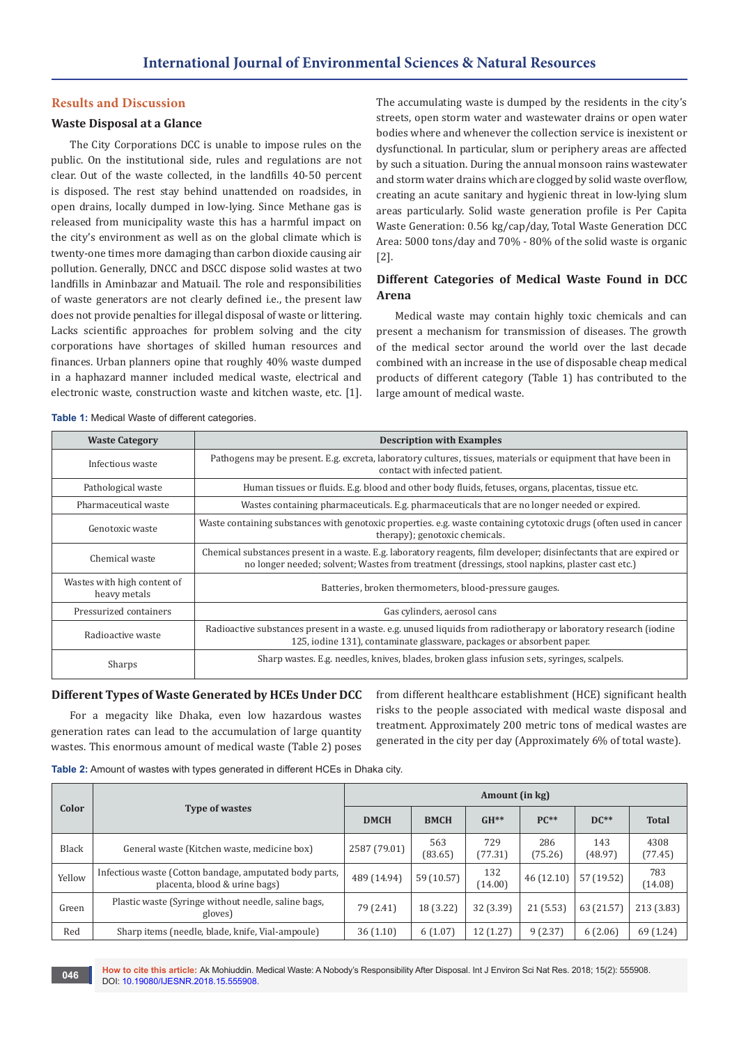#### **Results and Discussion**

#### **Waste Disposal at a Glance**

The City Corporations DCC is unable to impose rules on the public. On the institutional side, rules and regulations are not clear. Out of the waste collected, in the landfills 40-50 percent is disposed. The rest stay behind unattended on roadsides, in open drains, locally dumped in low-lying. Since Methane gas is released from municipality waste this has a harmful impact on the city's environment as well as on the global climate which is twenty-one times more damaging than carbon dioxide causing air pollution. Generally, DNCC and DSCC dispose solid wastes at two landfills in Aminbazar and Matuail. The role and responsibilities of waste generators are not clearly defined i.e., the present law does not provide penalties for illegal disposal of waste or littering. Lacks scientific approaches for problem solving and the city corporations have shortages of skilled human resources and finances. Urban planners opine that roughly 40% waste dumped in a haphazard manner included medical waste, electrical and electronic waste, construction waste and kitchen waste, etc. [1]. The accumulating waste is dumped by the residents in the city's streets, open storm water and wastewater drains or open water bodies where and whenever the collection service is inexistent or dysfunctional. In particular, slum or periphery areas are affected by such a situation. During the annual monsoon rains wastewater and storm water drains which are clogged by solid waste overflow, creating an acute sanitary and hygienic threat in low-lying slum areas particularly. Solid waste generation profile is Per Capita Waste Generation: 0.56 kg/cap/day, Total Waste Generation DCC Area: 5000 tons/day and 70% - 80% of the solid waste is organic [2].

# **Different Categories of Medical Waste Found in DCC Arena**

Medical waste may contain highly toxic chemicals and can present a mechanism for transmission of diseases. The growth of the medical sector around the world over the last decade combined with an increase in the use of disposable cheap medical products of different category (Table 1) has contributed to the large amount of medical waste.

**Table 1:** Medical Waste of different categories.

| <b>Waste Category</b>                       | <b>Description with Examples</b>                                                                                                                                                                                      |
|---------------------------------------------|-----------------------------------------------------------------------------------------------------------------------------------------------------------------------------------------------------------------------|
| Infectious waste                            | Pathogens may be present. E.g. excreta, laboratory cultures, tissues, materials or equipment that have been in<br>contact with infected patient.                                                                      |
| Pathological waste                          | Human tissues or fluids. E.g. blood and other body fluids, fetuses, organs, placentas, tissue etc.                                                                                                                    |
| Pharmaceutical waste                        | Wastes containing pharmaceuticals. E.g. pharmaceuticals that are no longer needed or expired.                                                                                                                         |
| Genotoxic waste                             | Waste containing substances with genotoxic properties. e.g. waste containing cytotoxic drugs (often used in cancer<br>therapy); genotoxic chemicals.                                                                  |
| Chemical waste                              | Chemical substances present in a waste. E.g. laboratory reagents, film developer; disinfectants that are expired or<br>no longer needed; solvent; Wastes from treatment (dressings, stool napkins, plaster cast etc.) |
| Wastes with high content of<br>heavy metals | Batteries, broken thermometers, blood-pressure gauges.                                                                                                                                                                |
| Pressurized containers                      | Gas cylinders, aerosol cans                                                                                                                                                                                           |
| Radioactive waste                           | Radioactive substances present in a waste. e.g. unused liquids from radiotherapy or laboratory research (iodine<br>125, iodine 131), contaminate glassware, packages or absorbent paper.                              |
| Sharps                                      | Sharp wastes. E.g. needles, knives, blades, broken glass infusion sets, syringes, scalpels.                                                                                                                           |

#### **Different Types of Waste Generated by HCEs Under DCC**

For a megacity like Dhaka, even low hazardous wastes generation rates can lead to the accumulation of large quantity wastes. This enormous amount of medical waste (Table 2) poses from different healthcare establishment (HCE) significant health risks to the people associated with medical waste disposal and treatment. Approximately 200 metric tons of medical wastes are generated in the city per day (Approximately 6% of total waste).

| Table 2: Amount of wastes with types generated in different HCEs in Dhaka city. |  |
|---------------------------------------------------------------------------------|--|
|---------------------------------------------------------------------------------|--|

|              |                                                                                          | Amount (in kg) |                |                |                |                |                 |
|--------------|------------------------------------------------------------------------------------------|----------------|----------------|----------------|----------------|----------------|-----------------|
| Color        | <b>Type of wastes</b>                                                                    | <b>DMCH</b>    | <b>BMCH</b>    | $GH**$         | $PC**$         | $DC**$         | <b>Total</b>    |
| <b>Black</b> | General waste (Kitchen waste, medicine box)                                              | 2587 (79.01)   | 563<br>(83.65) | 729<br>(77.31) | 286<br>(75.26) | 143<br>(48.97) | 4308<br>(77.45) |
| Yellow       | Infectious waste (Cotton bandage, amputated body parts,<br>placenta, blood & urine bags) | 489 (14.94)    | 59 (10.57)     | 132<br>(14.00) | 46(12.10)      | 57 (19.52)     | 783<br>(14.08)  |
| Green        | Plastic waste (Syringe without needle, saline bags,<br>gloves)                           | 79 (2.41)      | 18 (3.22)      | 32 (3.39)      | 21(5.53)       | 63 (21.57)     | 213 (3.83)      |
| Red          | Sharp items (needle, blade, knife, Vial-ampoule)                                         | 36(1.10)       | 6(1.07)        | 12(1.27)       | 9(2.37)        | 6(2.06)        | 69 (1.24)       |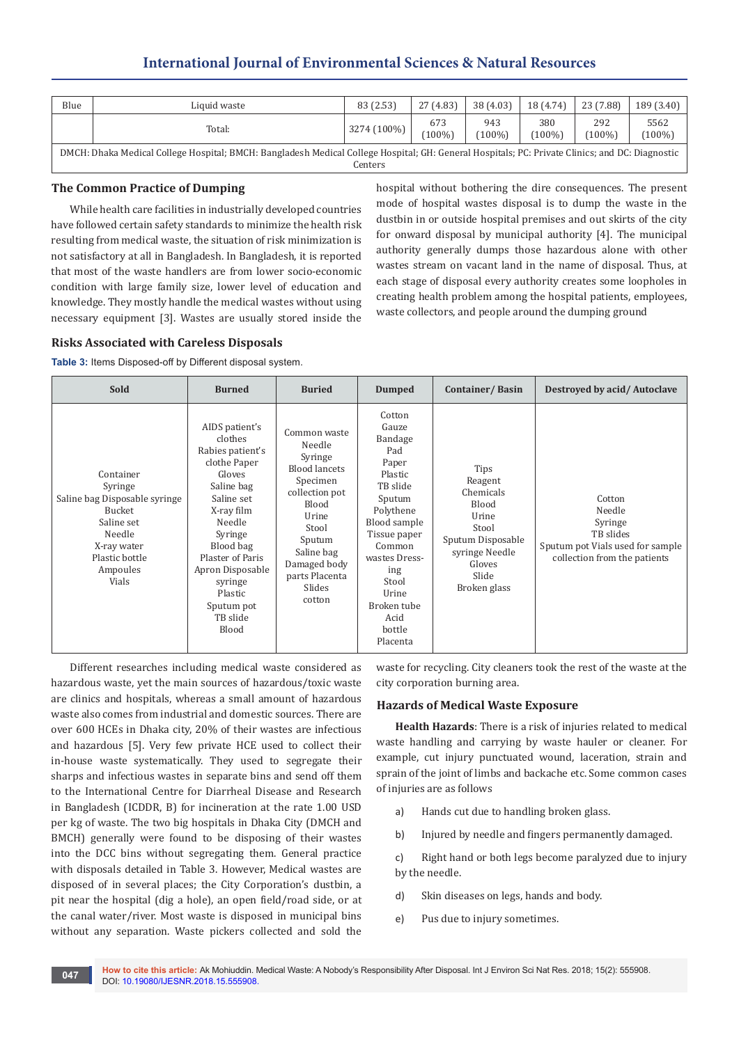# **International Journal of Environmental Sciences & Natural Resources**

| Blue                                                                                                                                                       | Liquid waste | 83 (2.53)   | 27 (4.83)        | 38 (4.03)      | 18 (4.74)        | 23 (7.88)     | 189(3.40)       |
|------------------------------------------------------------------------------------------------------------------------------------------------------------|--------------|-------------|------------------|----------------|------------------|---------------|-----------------|
|                                                                                                                                                            | Total:       | 3274 (100%) | 673<br>$(100\%)$ | 943<br>$100\%$ | 380<br>$(100\%)$ | 292<br>(100%) | 5562<br>$100\%$ |
| DMCH: Dhaka Medical College Hospital; BMCH: Bangladesh Medical College Hospital; GH: General Hospitals; PC: Private Clinics; and DC: Diagnostic<br>Centers |              |             |                  |                |                  |               |                 |

## **The Common Practice of Dumping**

While health care facilities in industrially developed countries have followed certain safety standards to minimize the health risk resulting from medical waste, the situation of risk minimization is not satisfactory at all in Bangladesh. In Bangladesh, it is reported that most of the waste handlers are from lower socio-economic condition with large family size, lower level of education and knowledge. They mostly handle the medical wastes without using necessary equipment [3]. Wastes are usually stored inside the hospital without bothering the dire consequences. The present mode of hospital wastes disposal is to dump the waste in the dustbin in or outside hospital premises and out skirts of the city for onward disposal by municipal authority [4]. The municipal authority generally dumps those hazardous alone with other wastes stream on vacant land in the name of disposal. Thus, at each stage of disposal every authority creates some loopholes in creating health problem among the hospital patients, employees, waste collectors, and people around the dumping ground

#### **Risks Associated with Careless Disposals**

**Table 3:** Items Disposed-off by Different disposal system.

| Sold                                                                                                                                          | <b>Burned</b>                                                                                                                                                                                                                                        | <b>Buried</b>                                                                                                                                                                                    | <b>Dumped</b>                                                                                                                                                                                                             | Container/Basin                                                                                                                          | Destroyed by acid/Autoclave                                                                                  |
|-----------------------------------------------------------------------------------------------------------------------------------------------|------------------------------------------------------------------------------------------------------------------------------------------------------------------------------------------------------------------------------------------------------|--------------------------------------------------------------------------------------------------------------------------------------------------------------------------------------------------|---------------------------------------------------------------------------------------------------------------------------------------------------------------------------------------------------------------------------|------------------------------------------------------------------------------------------------------------------------------------------|--------------------------------------------------------------------------------------------------------------|
| Container<br>Syringe<br>Saline bag Disposable syringe<br>Bucket<br>Saline set<br>Needle<br>X-ray water<br>Plastic bottle<br>Ampoules<br>Vials | AIDS patient's<br>clothes<br>Rabies patient's<br>clothe Paper<br>Gloves<br>Saline bag<br>Saline set<br>X-ray film<br>Needle<br>Syringe<br>Blood bag<br>Plaster of Paris<br>Apron Disposable<br>syringe<br>Plastic<br>Sputum pot<br>TB slide<br>Blood | Common waste<br>Needle<br>Syringe<br><b>Blood lancets</b><br>Specimen<br>collection pot<br>Blood<br>Urine<br>Stool<br>Sputum<br>Saline bag<br>Damaged body<br>parts Placenta<br>Slides<br>cotton | Cotton<br>Gauze<br>Bandage<br>Pad<br>Paper<br>Plastic<br>TB slide<br>Sputum<br>Polythene<br>Blood sample<br>Tissue paper<br>Common<br>wastes Dress-<br>ing<br>Stool<br>Urine<br>Broken tube<br>Acid<br>bottle<br>Placenta | <b>Tips</b><br>Reagent<br>Chemicals<br>Blood<br>Urine<br>Stool<br>Sputum Disposable<br>syringe Needle<br>Gloves<br>Slide<br>Broken glass | Cotton<br>Needle<br>Syringe<br>TB slides<br>Sputum pot Vials used for sample<br>collection from the patients |

Different researches including medical waste considered as hazardous waste, yet the main sources of hazardous/toxic waste are clinics and hospitals, whereas a small amount of hazardous waste also comes from industrial and domestic sources. There are over 600 HCEs in Dhaka city, 20% of their wastes are infectious and hazardous [5]. Very few private HCE used to collect their in-house waste systematically. They used to segregate their sharps and infectious wastes in separate bins and send off them to the International Centre for Diarrheal Disease and Research in Bangladesh (ICDDR, B) for incineration at the rate 1.00 USD per kg of waste. The two big hospitals in Dhaka City (DMCH and BMCH) generally were found to be disposing of their wastes into the DCC bins without segregating them. General practice with disposals detailed in Table 3. However, Medical wastes are disposed of in several places; the City Corporation's dustbin, a pit near the hospital (dig a hole), an open field/road side, or at the canal water/river. Most waste is disposed in municipal bins without any separation. Waste pickers collected and sold the waste for recycling. City cleaners took the rest of the waste at the city corporation burning area.

#### **Hazards of Medical Waste Exposure**

**Health Hazards**: There is a risk of injuries related to medical waste handling and carrying by waste hauler or cleaner. For example, cut injury punctuated wound, laceration, strain and sprain of the joint of limbs and backache etc. Some common cases of injuries are as follows

- a) Hands cut due to handling broken glass.
- b) Injured by needle and fingers permanently damaged.

c) Right hand or both legs become paralyzed due to injury by the needle.

- d) Skin diseases on legs, hands and body.
- e) Pus due to injury sometimes.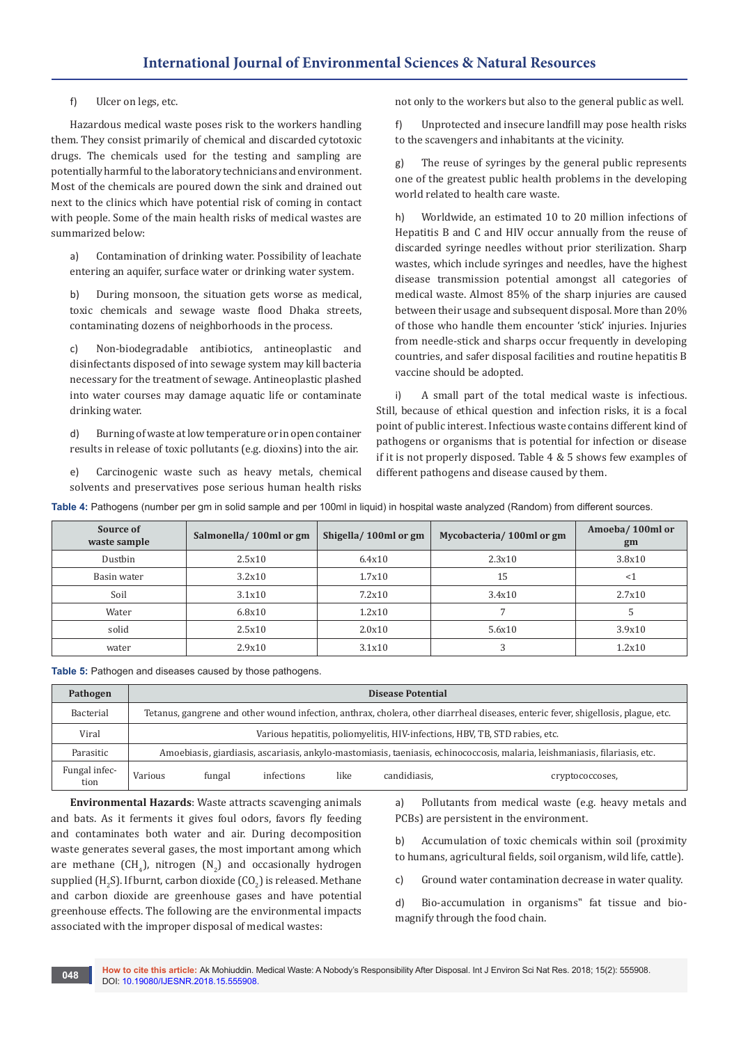f) Ulcer on legs, etc.

Hazardous medical waste poses risk to the workers handling them. They consist primarily of chemical and discarded cytotoxic drugs. The chemicals used for the testing and sampling are potentially harmful to the laboratory technicians and environment. Most of the chemicals are poured down the sink and drained out next to the clinics which have potential risk of coming in contact with people. Some of the main health risks of medical wastes are summarized below:

a) Contamination of drinking water. Possibility of leachate entering an aquifer, surface water or drinking water system.

b) During monsoon, the situation gets worse as medical, toxic chemicals and sewage waste flood Dhaka streets, contaminating dozens of neighborhoods in the process.

c) Non-biodegradable antibiotics, antineoplastic and disinfectants disposed of into sewage system may kill bacteria necessary for the treatment of sewage. Antineoplastic plashed into water courses may damage aquatic life or contaminate drinking water.

d) Burning of waste at low temperature or in open container results in release of toxic pollutants (e.g. dioxins) into the air.

e) Carcinogenic waste such as heavy metals, chemical solvents and preservatives pose serious human health risks

not only to the workers but also to the general public as well.

f) Unprotected and insecure landfill may pose health risks to the scavengers and inhabitants at the vicinity.

g) The reuse of syringes by the general public represents one of the greatest public health problems in the developing world related to health care waste.

h) Worldwide, an estimated 10 to 20 million infections of Hepatitis B and C and HIV occur annually from the reuse of discarded syringe needles without prior sterilization. Sharp wastes, which include syringes and needles, have the highest disease transmission potential amongst all categories of medical waste. Almost 85% of the sharp injuries are caused between their usage and subsequent disposal. More than 20% of those who handle them encounter 'stick' injuries. Injuries from needle-stick and sharps occur frequently in developing countries, and safer disposal facilities and routine hepatitis B vaccine should be adopted.

i) A small part of the total medical waste is infectious. Still, because of ethical question and infection risks, it is a focal point of public interest. Infectious waste contains different kind of pathogens or organisms that is potential for infection or disease if it is not properly disposed. Table 4 & 5 shows few examples of different pathogens and disease caused by them.

**Table 4:** Pathogens (number per gm in solid sample and per 100ml in liquid) in hospital waste analyzed (Random) from different sources.

| Source of<br>waste sample | Salmonella/100ml or gm | Shigella/100ml or gm | Mycobacteria/100ml or gm | Amoeba/100ml or<br>gm |
|---------------------------|------------------------|----------------------|--------------------------|-----------------------|
| Dustbin                   | 2.5x10                 | 6.4x10               | 2.3x10                   | 3.8x10                |
| Basin water               | 3.2x10                 | $1.7\times10$        | 15                       | $<$ 1                 |
| Soil                      | 3.1x10                 | 7.2x10               | 3.4x10                   | 2.7x10                |
| Water                     | 6.8x10                 | 1.2x10               |                          |                       |
| solid                     | 2.5x10                 | 2.0x10               | 5.6x10                   | 3.9x10                |
| water                     | 2.9x10                 | 3.1x10               |                          | 1.2x10                |

**Table 5:** Pathogen and diseases caused by those pathogens.

| Pathogen              | <b>Disease Potential</b>                                                                                                    |                                                                                                                                   |            |      |              |                 |  |
|-----------------------|-----------------------------------------------------------------------------------------------------------------------------|-----------------------------------------------------------------------------------------------------------------------------------|------------|------|--------------|-----------------|--|
| Bacterial             |                                                                                                                             | Tetanus, gangrene and other wound infection, anthrax, cholera, other diarrheal diseases, enteric fever, shigellosis, plague, etc. |            |      |              |                 |  |
| Viral                 |                                                                                                                             | Various hepatitis, poliomyelitis, HIV-infections, HBV, TB, STD rabies, etc.                                                       |            |      |              |                 |  |
| Parasitic             | Amoebiasis, giardiasis, ascariasis, ankylo-mastomiasis, taeniasis, echinococcosis, malaria, leishmaniasis, filariasis, etc. |                                                                                                                                   |            |      |              |                 |  |
| Fungal infec-<br>tion | Various                                                                                                                     | fungal                                                                                                                            | infections | like | candidiasis. | cryptococcoses, |  |

**Environmental Hazards**: Waste attracts scavenging animals and bats. As it ferments it gives foul odors, favors fly feeding and contaminates both water and air. During decomposition waste generates several gases, the most important among which are methane (CH<sub>4</sub>), nitrogen (N<sub>2</sub>) and occasionally hydrogen supplied (H<sub>2</sub>S). If burnt, carbon dioxide (CO<sub>2</sub>) is released. Methane and carbon dioxide are greenhouse gases and have potential greenhouse effects. The following are the environmental impacts associated with the improper disposal of medical wastes:

a) Pollutants from medical waste (e.g. heavy metals and PCBs) are persistent in the environment.

b) Accumulation of toxic chemicals within soil (proximity to humans, agricultural fields, soil organism, wild life, cattle).

c) Ground water contamination decrease in water quality.

d) Bio-accumulation in organisms" fat tissue and biomagnify through the food chain.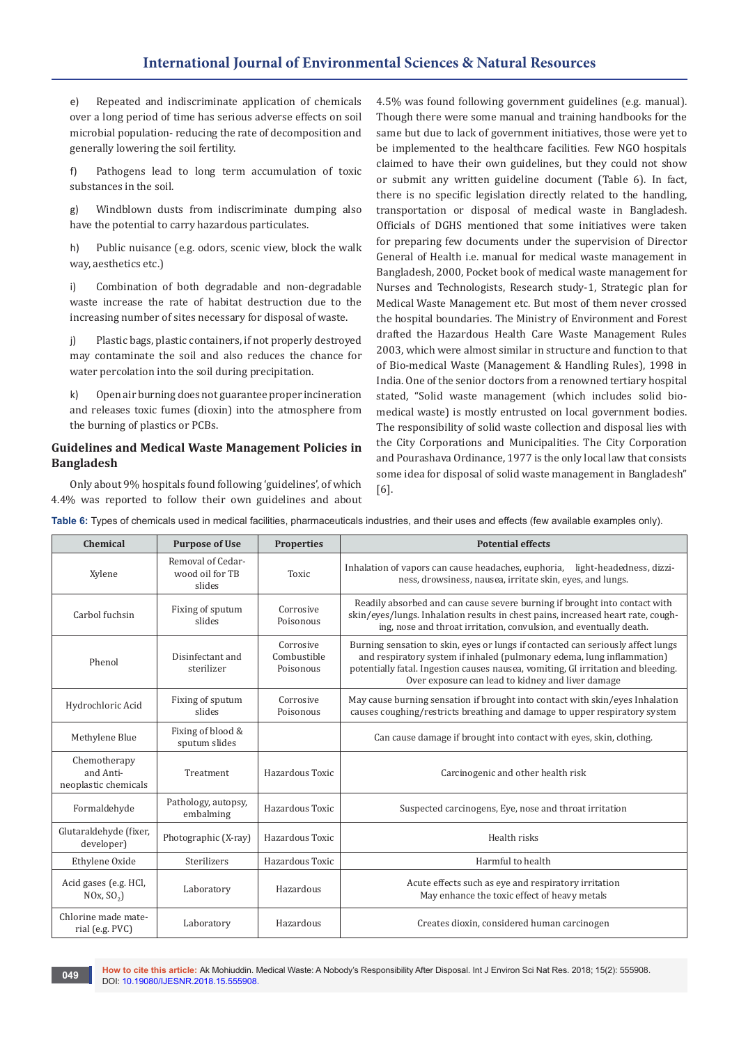# **International Journal of Environmental Sciences & Natural Resources**

e) Repeated and indiscriminate application of chemicals over a long period of time has serious adverse effects on soil microbial population- reducing the rate of decomposition and generally lowering the soil fertility.

f) Pathogens lead to long term accumulation of toxic substances in the soil.

g) Windblown dusts from indiscriminate dumping also have the potential to carry hazardous particulates.

h) Public nuisance (e.g. odors, scenic view, block the walk way, aesthetics etc.)

i) Combination of both degradable and non-degradable waste increase the rate of habitat destruction due to the increasing number of sites necessary for disposal of waste.

j) Plastic bags, plastic containers, if not properly destroyed may contaminate the soil and also reduces the chance for water percolation into the soil during precipitation.

k) Open air burning does not guarantee proper incineration and releases toxic fumes (dioxin) into the atmosphere from the burning of plastics or PCBs.

## **Guidelines and Medical Waste Management Policies in Bangladesh**

Only about 9% hospitals found following 'guidelines', of which 4.4% was reported to follow their own guidelines and about

4.5% was found following government guidelines (e.g. manual). Though there were some manual and training handbooks for the same but due to lack of government initiatives, those were yet to be implemented to the healthcare facilities. Few NGO hospitals claimed to have their own guidelines, but they could not show or submit any written guideline document (Table 6). In fact, there is no specific legislation directly related to the handling, transportation or disposal of medical waste in Bangladesh. Officials of DGHS mentioned that some initiatives were taken for preparing few documents under the supervision of Director General of Health i.e. manual for medical waste management in Bangladesh, 2000, Pocket book of medical waste management for Nurses and Technologists, Research study-1, Strategic plan for Medical Waste Management etc. But most of them never crossed the hospital boundaries. The Ministry of Environment and Forest drafted the Hazardous Health Care Waste Management Rules 2003, which were almost similar in structure and function to that of Bio-medical Waste (Management & Handling Rules), 1998 in India. One of the senior doctors from a renowned tertiary hospital stated, "Solid waste management (which includes solid biomedical waste) is mostly entrusted on local government bodies. The responsibility of solid waste collection and disposal lies with the City Corporations and Municipalities. The City Corporation and Pourashava Ordinance, 1977 is the only local law that consists some idea for disposal of solid waste management in Bangladesh" [6].

**Table 6:** Types of chemicals used in medical facilities, pharmaceuticals industries, and their uses and effects (few available examples only).

| Chemical                                          | <b>Purpose of Use</b>                          | <b>Properties</b>                     | <b>Potential effects</b>                                                                                                                                                                                                                                                                             |
|---------------------------------------------------|------------------------------------------------|---------------------------------------|------------------------------------------------------------------------------------------------------------------------------------------------------------------------------------------------------------------------------------------------------------------------------------------------------|
| Xylene                                            | Removal of Cedar-<br>wood oil for TB<br>slides | <b>Toxic</b>                          | Inhalation of vapors can cause headaches, euphoria, light-headedness, dizzi-<br>ness, drowsiness, nausea, irritate skin, eyes, and lungs.                                                                                                                                                            |
| Carbol fuchsin                                    | Fixing of sputum<br>slides                     | Corrosive<br>Poisonous                | Readily absorbed and can cause severe burning if brought into contact with<br>skin/eyes/lungs. Inhalation results in chest pains, increased heart rate, cough-<br>ing, nose and throat irritation, convulsion, and eventually death.                                                                 |
| Phenol                                            | Disinfectant and<br>sterilizer                 | Corrosive<br>Combustible<br>Poisonous | Burning sensation to skin, eyes or lungs if contacted can seriously affect lungs<br>and respiratory system if inhaled (pulmonary edema, lung inflammation)<br>potentially fatal. Ingestion causes nausea, vomiting, GI irritation and bleeding.<br>Over exposure can lead to kidney and liver damage |
| Hydrochloric Acid                                 | Fixing of sputum<br>slides                     | Corrosive<br>Poisonous                | May cause burning sensation if brought into contact with skin/eyes Inhalation<br>causes coughing/restricts breathing and damage to upper respiratory system                                                                                                                                          |
| Methylene Blue                                    | Fixing of blood &<br>sputum slides             |                                       | Can cause damage if brought into contact with eyes, skin, clothing.                                                                                                                                                                                                                                  |
| Chemotherapy<br>and Anti-<br>neoplastic chemicals | Treatment                                      | Hazardous Toxic                       | Carcinogenic and other health risk                                                                                                                                                                                                                                                                   |
| Formaldehyde                                      | Pathology, autopsy,<br>embalming               | Hazardous Toxic                       | Suspected carcinogens, Eye, nose and throat irritation                                                                                                                                                                                                                                               |
| Glutaraldehyde (fixer,<br>developer)              | Photographic (X-ray)                           | Hazardous Toxic                       | Health risks                                                                                                                                                                                                                                                                                         |
| Ethylene Oxide                                    | <b>Sterilizers</b>                             | Hazardous Toxic                       | Harmful to health                                                                                                                                                                                                                                                                                    |
| Acid gases (e.g. HCl,<br>NOx, SO <sub>2</sub> )   | Laboratory                                     | Hazardous                             | Acute effects such as eye and respiratory irritation<br>May enhance the toxic effect of heavy metals                                                                                                                                                                                                 |
| Chlorine made mate-<br>rial (e.g. PVC)            | Laboratory                                     | Hazardous                             | Creates dioxin, considered human carcinogen                                                                                                                                                                                                                                                          |

**How to cite this article:** Ak Mohiuddin. Medical Waste: A Nobody's Responsibility After Disposal. Int J Environ Sci Nat Res. 2018; 15(2): 555908. **049 DOI: [10.19080/IJESNR.2018.15.555908.](http://dx.doi.org/10.19080/IJESNR.2018.15.555908)**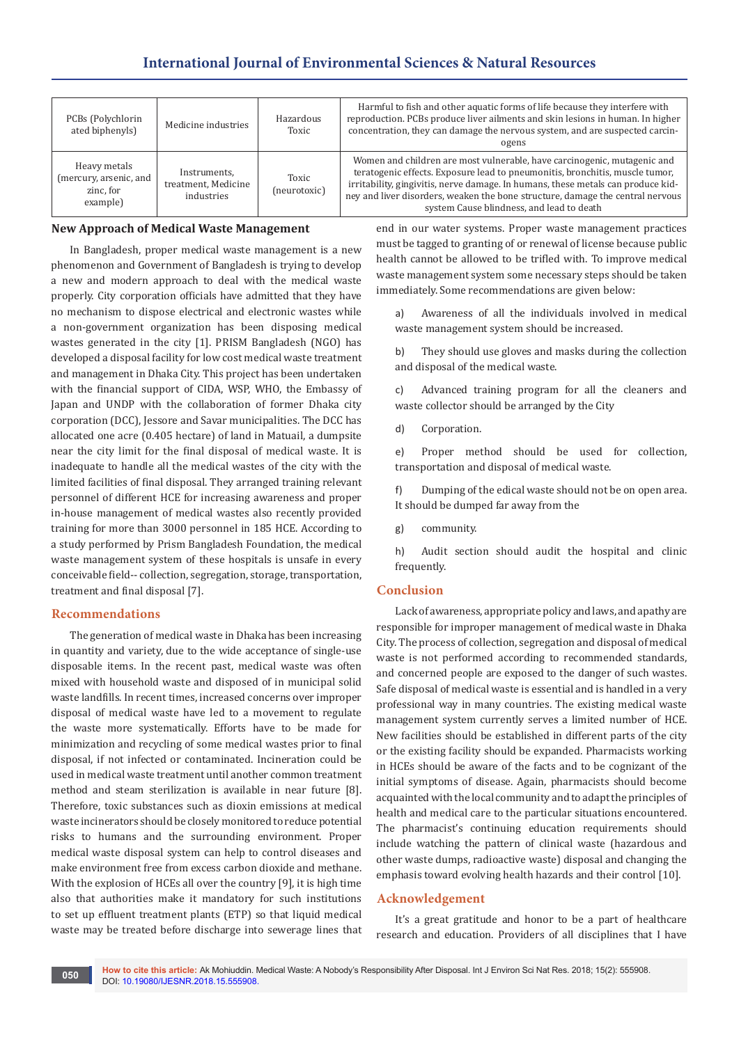| PCBs (Polychlorin<br>ated biphenyls)                            | Medicine industries                               | Hazardous<br>Toxic    | Harmful to fish and other aquatic forms of life because they interfere with<br>reproduction. PCBs produce liver ailments and skin lesions in human. In higher<br>concentration, they can damage the nervous system, and are suspected carcin-<br>ogens                                                                                                                      |
|-----------------------------------------------------------------|---------------------------------------------------|-----------------------|-----------------------------------------------------------------------------------------------------------------------------------------------------------------------------------------------------------------------------------------------------------------------------------------------------------------------------------------------------------------------------|
| Heavy metals<br>(mercury, arsenic, and<br>zinc, for<br>example) | Instruments,<br>treatment, Medicine<br>industries | Toxic<br>(neurotoxic) | Women and children are most vulnerable, have carcinogenic, mutagenic and<br>teratogenic effects. Exposure lead to pneumonitis, bronchitis, muscle tumor,<br>irritability, gingivitis, nerve damage. In humans, these metals can produce kid-<br>ney and liver disorders, weaken the bone structure, damage the central nervous<br>system Cause blindness, and lead to death |

### **New Approach of Medical Waste Management**

In Bangladesh, proper medical waste management is a new phenomenon and Government of Bangladesh is trying to develop a new and modern approach to deal with the medical waste properly. City corporation officials have admitted that they have no mechanism to dispose electrical and electronic wastes while a non-government organization has been disposing medical wastes generated in the city [1]. PRISM Bangladesh (NGO) has developed a disposal facility for low cost medical waste treatment and management in Dhaka City. This project has been undertaken with the financial support of CIDA, WSP, WHO, the Embassy of Japan and UNDP with the collaboration of former Dhaka city corporation (DCC), Jessore and Savar municipalities. The DCC has allocated one acre (0.405 hectare) of land in Matuail, a dumpsite near the city limit for the final disposal of medical waste. It is inadequate to handle all the medical wastes of the city with the limited facilities of final disposal. They arranged training relevant personnel of different HCE for increasing awareness and proper in-house management of medical wastes also recently provided training for more than 3000 personnel in 185 HCE. According to a study performed by Prism Bangladesh Foundation, the medical waste management system of these hospitals is unsafe in every conceivable field-- collection, segregation, storage, transportation, treatment and final disposal [7].

#### **Recommendations**

The generation of medical waste in Dhaka has been increasing in quantity and variety, due to the wide acceptance of single-use disposable items. In the recent past, medical waste was often mixed with household waste and disposed of in municipal solid waste landfills. In recent times, increased concerns over improper disposal of medical waste have led to a movement to regulate the waste more systematically. Efforts have to be made for minimization and recycling of some medical wastes prior to final disposal, if not infected or contaminated. Incineration could be used in medical waste treatment until another common treatment method and steam sterilization is available in near future [8]. Therefore, toxic substances such as dioxin emissions at medical waste incinerators should be closely monitored to reduce potential risks to humans and the surrounding environment. Proper medical waste disposal system can help to control diseases and make environment free from excess carbon dioxide and methane. With the explosion of HCEs all over the country [9], it is high time also that authorities make it mandatory for such institutions to set up effluent treatment plants (ETP) so that liquid medical waste may be treated before discharge into sewerage lines that

end in our water systems. Proper waste management practices must be tagged to granting of or renewal of license because public health cannot be allowed to be trifled with. To improve medical waste management system some necessary steps should be taken immediately. Some recommendations are given below:

a) Awareness of all the individuals involved in medical waste management system should be increased.

b) They should use gloves and masks during the collection and disposal of the medical waste.

c) Advanced training program for all the cleaners and waste collector should be arranged by the City

d) Corporation.

e) Proper method should be used for collection, transportation and disposal of medical waste.

f) Dumping of the edical waste should not be on open area. It should be dumped far away from the

g) community.

h) Audit section should audit the hospital and clinic frequently.

#### **Conclusion**

Lack of awareness, appropriate policy and laws, and apathy are responsible for improper management of medical waste in Dhaka City. The process of collection, segregation and disposal of medical waste is not performed according to recommended standards, and concerned people are exposed to the danger of such wastes. Safe disposal of medical waste is essential and is handled in a very professional way in many countries. The existing medical waste management system currently serves a limited number of HCE. New facilities should be established in different parts of the city or the existing facility should be expanded. Pharmacists working in HCEs should be aware of the facts and to be cognizant of the initial symptoms of disease. Again, pharmacists should become acquainted with the local community and to adapt the principles of health and medical care to the particular situations encountered. The pharmacist's continuing education requirements should include watching the pattern of clinical waste (hazardous and other waste dumps, radioactive waste) disposal and changing the emphasis toward evolving health hazards and their control [10].

#### **Acknowledgement**

It's a great gratitude and honor to be a part of healthcare research and education. Providers of all disciplines that I have